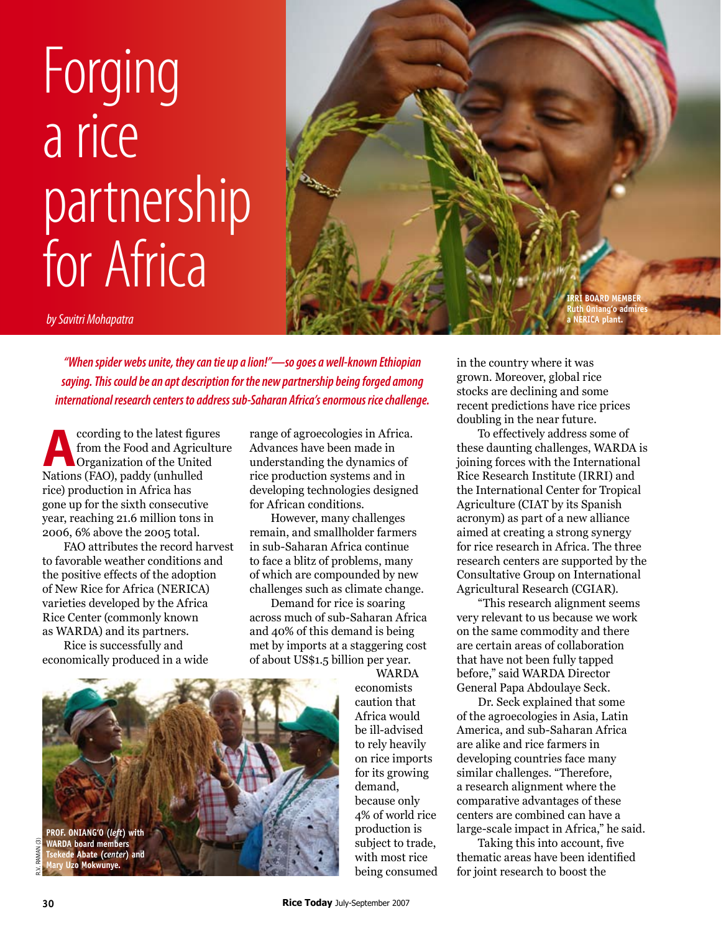## Forging a rice partnership for Africa



*by Savitri Mohapatra*

*"When spider webs unite, they can tie up a lion!"—so goes a well-known Ethiopian saying. This could be an apt description for the new partnership being forged among international research centers to address sub-Saharan Africa's enormous rice challenge.*

**A**ccording to the latest figures from the Food and Agriculture Organization of the United Nations (FAO), paddy (unhulled rice) production in Africa has gone up for the sixth consecutive year, reaching 21.6 million tons in 2006, 6% above the 2005 total.

FAO attributes the record harvest to favorable weather conditions and the positive effects of the adoption of New Rice for Africa (NERICA) varieties developed by the Africa Rice Center (commonly known as WARDA) and its partners.

Rice is successfully and economically produced in a wide range of agroecologies in Africa. Advances have been made in understanding the dynamics of rice production systems and in developing technologies designed for African conditions.

However, many challenges remain, and smallholder farmers in sub-Saharan Africa continue to face a blitz of problems, many of which are compounded by new challenges such as climate change.

Demand for rice is soaring across much of sub-Saharan Africa and 40% of this demand is being met by imports at a staggering cost of about US\$1.5 billion per year.



WARDA economists caution that Africa would be ill-advised to rely heavily on rice imports for its growing demand, because only 4% of world rice production is subject to trade, with most rice being consumed in the country where it was grown. Moreover, global rice stocks are declining and some recent predictions have rice prices doubling in the near future.

To effectively address some of these daunting challenges, WARDA is joining forces with the International Rice Research Institute (IRRI) and the International Center for Tropical Agriculture (CIAT by its Spanish acronym) as part of a new alliance aimed at creating a strong synergy for rice research in Africa. The three research centers are supported by the Consultative Group on International Agricultural Research (CGIAR).

"This research alignment seems very relevant to us because we work on the same commodity and there are certain areas of collaboration that have not been fully tapped before," said WARDA Director General Papa Abdoulaye Seck.

Dr. Seck explained that some of the agroecologies in Asia, Latin America, and sub-Saharan Africa are alike and rice farmers in developing countries face many similar challenges. "Therefore, a research alignment where the comparative advantages of these centers are combined can have a large-scale impact in Africa," he said.

Taking this into account, five thematic areas have been identified for joint research to boost the